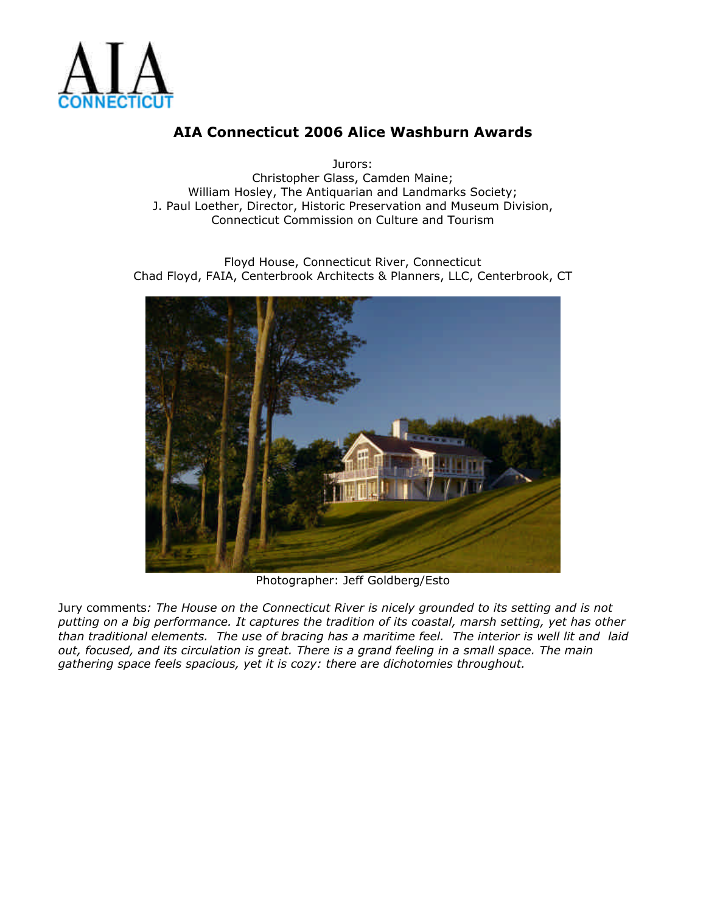

Jurors: Christopher Glass, Camden Maine; William Hosley, The Antiquarian and Landmarks Society; J. Paul Loether, Director, Historic Preservation and Museum Division, Connecticut Commission on Culture and Tourism

Floyd House, Connecticut River, Connecticut Chad Floyd, FAIA, Centerbrook Architects & Planners, LLC, Centerbrook, CT



Photographer: Jeff Goldberg/Esto

Jury comments*: The House on the Connecticut River is nicely grounded to its setting and is not putting on a big performance. It captures the tradition of its coastal, marsh setting, yet has other than traditional elements. The use of bracing has a maritime feel. The interior is well lit and laid out, focused, and its circulation is great. There is a grand feeling in a small space. The main gathering space feels spacious, yet it is cozy: there are dichotomies throughout.*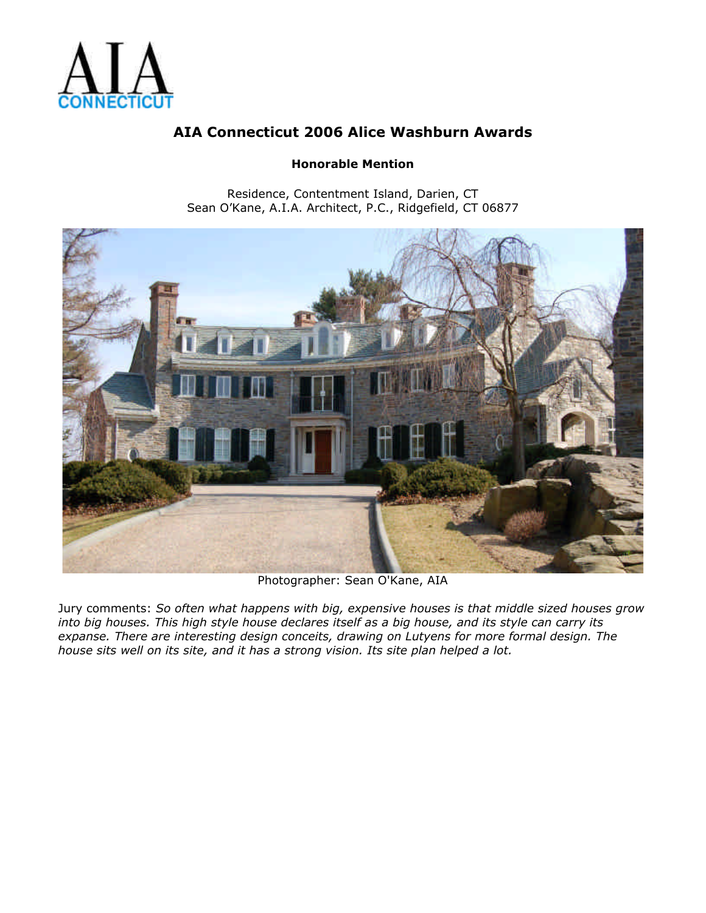

### **Honorable Mention**

Residence, Contentment Island, Darien, CT Sean O'Kane, A.I.A. Architect, P.C., Ridgefield, CT 06877



Photographer: Sean O'Kane, AIA

Jury comments: *So often what happens with big, expensive houses is that middle sized houses grow into big houses. This high style house declares itself as a big house, and its style can carry its expanse. There are interesting design conceits, drawing on Lutyens for more formal design. The house sits well on its site, and it has a strong vision. Its site plan helped a lot.*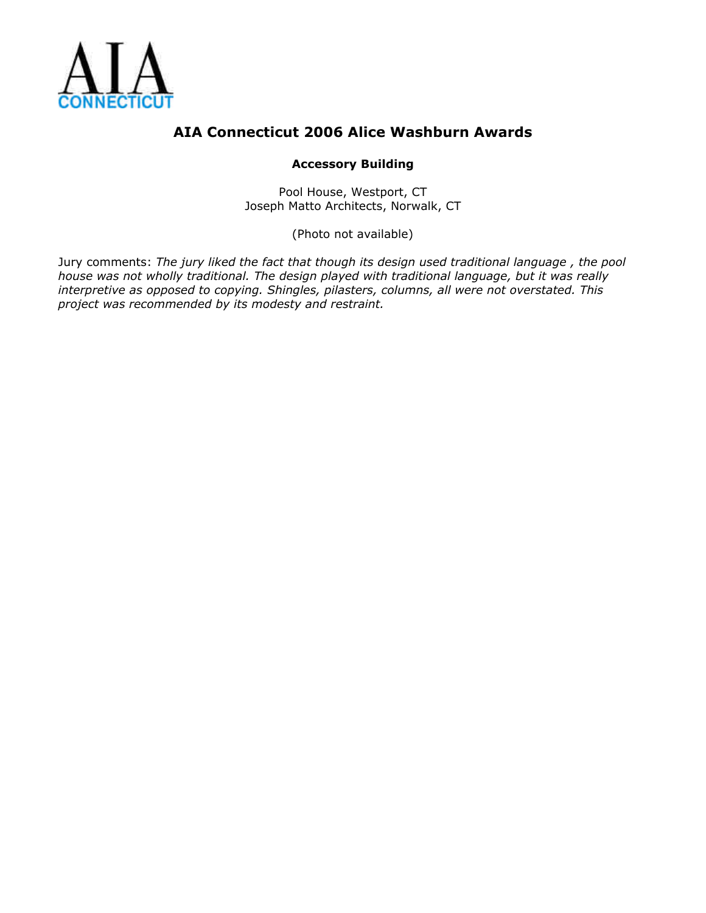

### **Accessory Building**

Pool House, Westport, CT Joseph Matto Architects, Norwalk, CT

(Photo not available)

Jury comments: *The jury liked the fact that though its design used traditional language , the pool house was not wholly traditional. The design played with traditional language, but it was really interpretive as opposed to copying. Shingles, pilasters, columns, all were not overstated. This project was recommended by its modesty and restraint.*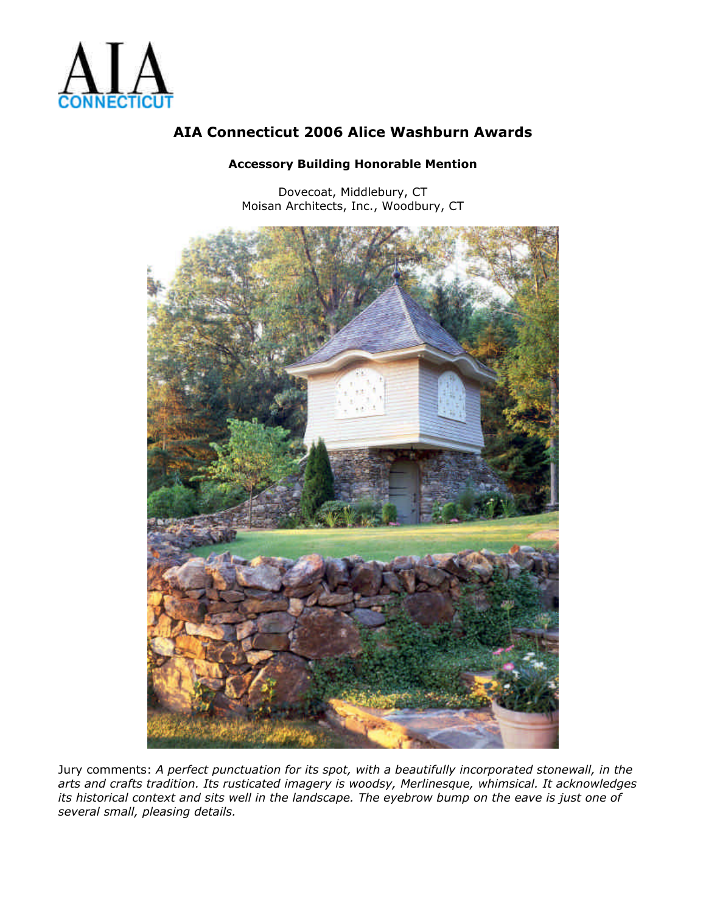

#### **Accessory Building Honorable Mention**

Dovecoat, Middlebury, CT Moisan Architects, Inc., Woodbury, CT



Jury comments: *A perfect punctuation for its spot, with a beautifully incorporated stonewall, in the arts and crafts tradition. Its rusticated imagery is woodsy, Merlinesque, whimsical. It acknowledges its historical context and sits well in the landscape. The eyebrow bump on the eave is just one of several small, pleasing details.*